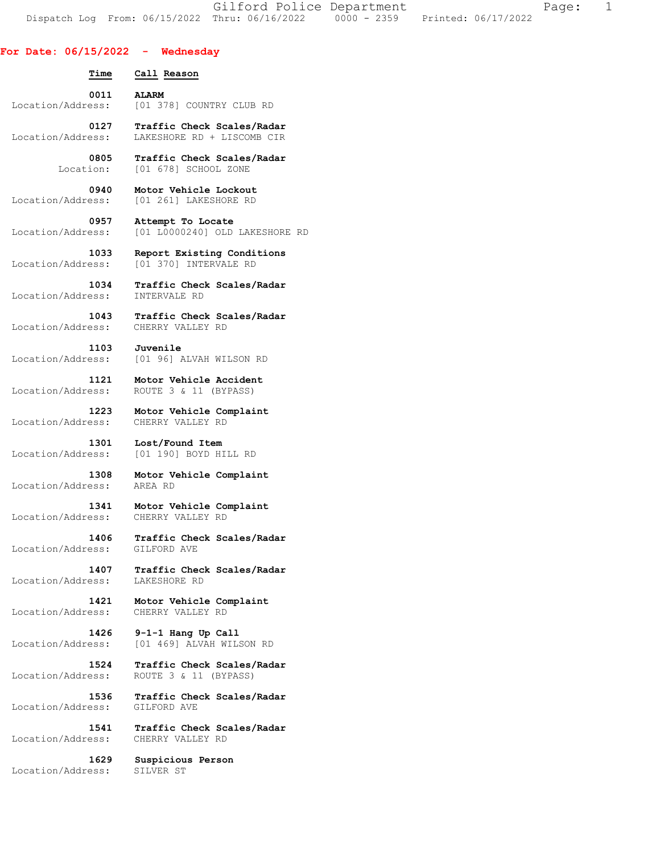Gilford Police Department Fage: 1 Dispatch Log From: 06/15/2022 Thru: 06/16/2022 0000 - 2359 Printed: 06/17/2022

**For Date: 06/15/2022 - Wednesday Time Call Reason 0011 ALARM**  Location/Address: [01 378] COUNTRY CLUB RD  **0127 Traffic Check Scales/Radar**  Location/Address: LAKESHORE RD + LISCOMB CIR  **0805 Traffic Check Scales/Radar**  Location: [01 678] SCHOOL ZONE  **0940 Motor Vehicle Lockout**  Location/Address: [01 261] LAKESHORE RD  **0957 Attempt To Locate**  Location/Address: [01 L0000240] OLD LAKESHORE RD  **1033 Report Existing Conditions**  Location/Address: [01 370] INTERVALE RD  **1034 Traffic Check Scales/Radar**  Location/Address:  **1043 Traffic Check Scales/Radar**  Location/Address: CHERRY VALLEY RD  **1103 Juvenile**  Location/Address: [01 96] ALVAH WILSON RD  **1121 Motor Vehicle Accident**  Location/Address: ROUTE 3 & 11 (BYPASS)  **1223 Motor Vehicle Complaint**  Location/Address: CHERRY VALLEY RD  **1301 Lost/Found Item**  Location/Address: [01 190] BOYD HILL RD  **1308 Motor Vehicle Complaint**  Location/Address: AREA RD  **1341 Motor Vehicle Complaint**  Location/Address: CHERRY VALLEY RD  **1406 Traffic Check Scales/Radar**  Location/Address: GILFORD AVE  **1407 Traffic Check Scales/Radar** 

Location/Address: LAKESHORE RD

 **1421 Motor Vehicle Complaint**  Location/Address: CHERRY VALLEY RD

 **1426 9-1-1 Hang Up Call**  Location/Address: [01 469] ALVAH WILSON RD

 **1524 Traffic Check Scales/Radar**  Location/Address: ROUTE 3 & 11 (BYPASS)

 **1536 Traffic Check Scales/Radar**  Location/Address: GILFORD AVE

 **1541 Traffic Check Scales/Radar**  Location/Address: CHERRY VALLEY RD

 **1629 Suspicious Person**  Location/Address: SILVER ST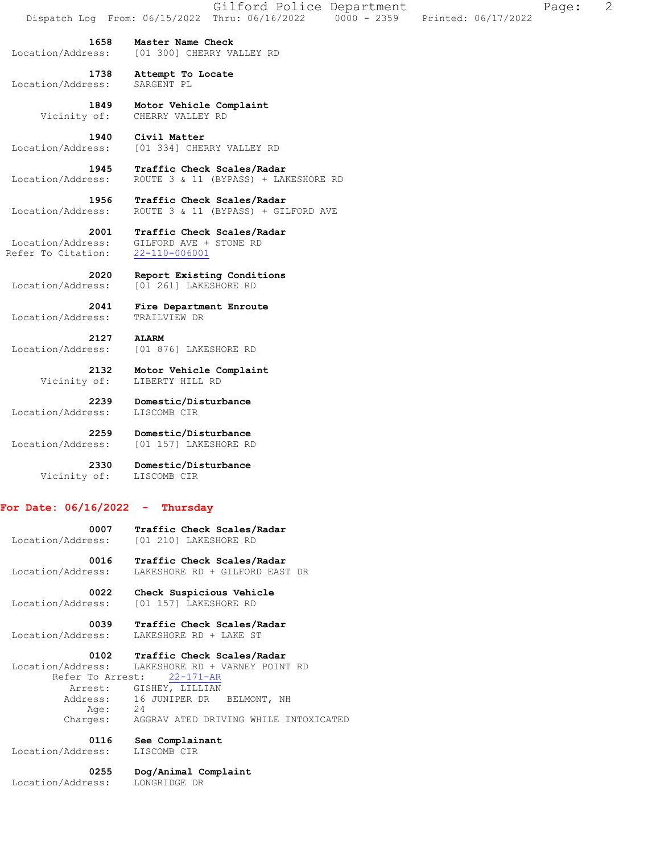**1658 Master Name Check**  Location/Address: [01 300] CHERRY VALLEY RD

 **1738 Attempt To Locate**  Location/Address:

> **1849 Motor Vehicle Complaint**  Vicinity of: CHERRY VALLEY RD

**1940 Civil Matter**<br>Location/Address: [01 334] CHEF [01 334] CHERRY VALLEY RD

 **1945 Traffic Check Scales/Radar**  Location/Address: ROUTE 3 & 11 (BYPASS) + LAKESHORE RD

 **1956 Traffic Check Scales/Radar**  Location/Address: ROUTE 3 & 11 (BYPASS) + GILFORD AVE

 **2001 Traffic Check Scales/Radar**  Location/Address: GILFORD AVE + STONE RD Refer To Citation: 22-110-006001

 **2020 Report Existing Conditions**  Location/Address: [01 261] LAKESHORE RD

**Fire Department Enroute** 2041 FILE -- Location/Address: TRAILVIEW DR

 **2127 ALARM**  Location/Address: [01 876] LAKESHORE RD

> **2132 Motor Vehicle Complaint**  Vicinity of: LIBERTY HILL RD

 **2239 Domestic/Disturbance**  Location/Address: LISCOMB CIR

 **2259 Domestic/Disturbance**  Location/Address: [01 157] LAKESHORE RD

> **2330 Domestic/Disturbance**  Vicinity of: LISCOMB CIR

## **For Date: 06/16/2022 - Thursday**

 **0007 Traffic Check Scales/Radar**  Location/Address: [01 210] LAKESHORE RD

 **0016 Traffic Check Scales/Radar**  Location/Address: LAKESHORE RD + GILFORD EAST DR

 **0022 Check Suspicious Vehicle**  Location/Address: [01 157] LAKESHORE RD

 **0039 Traffic Check Scales/Radar**  Location/Address: LAKESHORE RD + LAKE ST

 **0102 Traffic Check Scales/Radar**  Location/Address: LAKESHORE RD + VARNEY POINT RD Refer To Arrest: 22-171-AR Arrest: GISHEY, LILLIAN Address: 16 JUNIPER DR BELMONT, NH<br>Age: 24 Age: Charges: AGGRAV ATED DRIVING WHILE INTOXICATED

 **0116 See Complainant** 

Location/Address: LISCOMB CIR

 **0255 Dog/Animal Complaint**  Location/Address: LONGRIDGE DR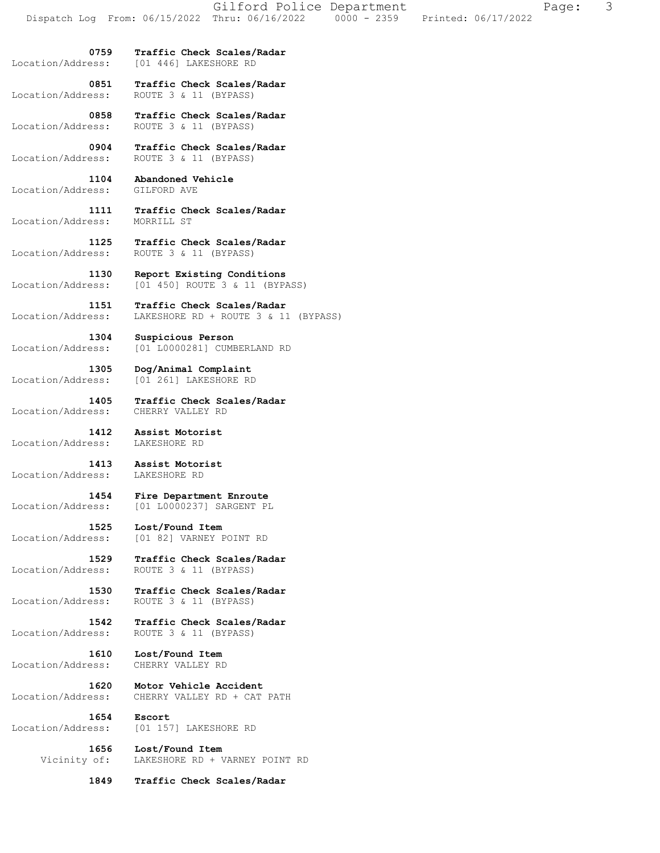**0759 Traffic Check Scales/Radar**  Location/Address: [01 446] LAKESHORE RD

 **0851 Traffic Check Scales/Radar** 

Location/Address: ROUTE 3 & 11 (BYPASS)

 **0858 Traffic Check Scales/Radar**  Location/Address: ROUTE 3 & 11 (BYPASS)

 **0904 Traffic Check Scales/Radar**  Location/Address: ROUTE 3 & 11 (BYPASS)

 **1104 Abandoned Vehicle**  Location/Address: GILFORD AVE

 **1111 Traffic Check Scales/Radar**  Location/Address:

 **1125 Traffic Check Scales/Radar**  Location/Address: ROUTE 3 & 11 (BYPASS)

 **1130 Report Existing Conditions**  Location/Address: [01 450] ROUTE 3 & 11 (BYPASS)

 **1151 Traffic Check Scales/Radar**  Location/Address: LAKESHORE RD + ROUTE 3 & 11 (BYPASS)

 **1304 Suspicious Person**  Location/Address: [01 L0000281] CUMBERLAND RD

 **1305 Dog/Animal Complaint**  Location/Address: [01 261] LAKESHORE RD

 **1405 Traffic Check Scales/Radar**  Location/Address: CHERRY VALLEY RD

 **1412 Assist Motorist**  Location/Address:

 **1413 Assist Motorist**  Location/Address: LAKESHORE RD

 **1454 Fire Department Enroute**  Location/Address: [01 L0000237] SARGENT PL

 **1525 Lost/Found Item**  Location/Address: [01 82] VARNEY POINT RD

 **1529 Traffic Check Scales/Radar**  Location/Address: ROUTE 3 & 11 (BYPASS)

 **1530 Traffic Check Scales/Radar**  Location/Address: ROUTE 3 & 11 (BYPASS)

 **1542 Traffic Check Scales/Radar**  Location/Address: ROUTE 3 & 11 (BYPASS)

 **1610 Lost/Found Item**  Location/Address: CHERRY VALLEY RD

 **1620 Motor Vehicle Accident**  Location/Address: CHERRY VALLEY RD + CAT PATH

 **1654 Escort** 

Location/Address: [01 157] LAKESHORE RD

 **1656 Lost/Found Item**  Vicinity of: LAKESHORE RD + VARNEY POINT RD

 **1849 Traffic Check Scales/Radar**